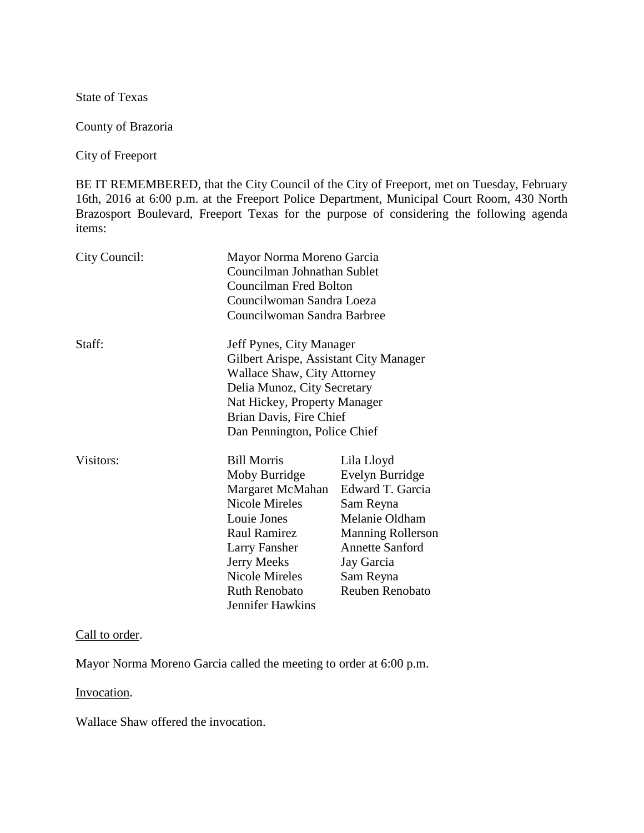State of Texas

County of Brazoria

City of Freeport

BE IT REMEMBERED, that the City Council of the City of Freeport, met on Tuesday, February 16th, 2016 at 6:00 p.m. at the Freeport Police Department, Municipal Court Room, 430 North Brazosport Boulevard, Freeport Texas for the purpose of considering the following agenda items:

| City Council: |                                                                                                                                                                                                                                                  | Mayor Norma Moreno Garcia<br>Councilman Johnathan Sublet<br>Councilman Fred Bolton<br>Councilwoman Sandra Loeza                                                                             |  |
|---------------|--------------------------------------------------------------------------------------------------------------------------------------------------------------------------------------------------------------------------------------------------|---------------------------------------------------------------------------------------------------------------------------------------------------------------------------------------------|--|
|               | Councilwoman Sandra Barbree                                                                                                                                                                                                                      |                                                                                                                                                                                             |  |
| Staff:        | Jeff Pynes, City Manager<br>Gilbert Arispe, Assistant City Manager<br><b>Wallace Shaw, City Attorney</b><br>Delia Munoz, City Secretary<br>Nat Hickey, Property Manager<br>Brian Davis, Fire Chief<br>Dan Pennington, Police Chief               |                                                                                                                                                                                             |  |
| Visitors:     | <b>Bill Morris</b><br>Moby Burridge<br>Margaret McMahan<br><b>Nicole Mireles</b><br>Louie Jones<br><b>Raul Ramirez</b><br><b>Larry Fansher</b><br><b>Jerry Meeks</b><br><b>Nicole Mireles</b><br><b>Ruth Renobato</b><br><b>Jennifer Hawkins</b> | Lila Lloyd<br>Evelyn Burridge<br>Edward T. Garcia<br>Sam Reyna<br>Melanie Oldham<br><b>Manning Rollerson</b><br><b>Annette Sanford</b><br>Jay Garcia<br>Sam Reyna<br><b>Reuben Renobato</b> |  |

## Call to order.

Mayor Norma Moreno Garcia called the meeting to order at 6:00 p.m.

Invocation.

Wallace Shaw offered the invocation.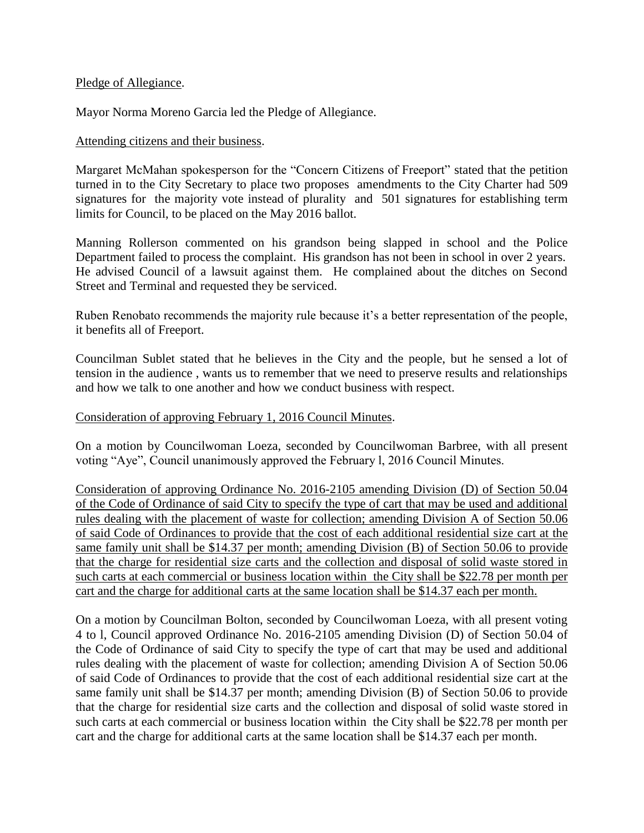### Pledge of Allegiance.

Mayor Norma Moreno Garcia led the Pledge of Allegiance.

## Attending citizens and their business.

Margaret McMahan spokesperson for the "Concern Citizens of Freeport" stated that the petition turned in to the City Secretary to place two proposes amendments to the City Charter had 509 signatures for the majority vote instead of plurality and 501 signatures for establishing term limits for Council, to be placed on the May 2016 ballot.

Manning Rollerson commented on his grandson being slapped in school and the Police Department failed to process the complaint. His grandson has not been in school in over 2 years. He advised Council of a lawsuit against them. He complained about the ditches on Second Street and Terminal and requested they be serviced.

Ruben Renobato recommends the majority rule because it's a better representation of the people, it benefits all of Freeport.

Councilman Sublet stated that he believes in the City and the people, but he sensed a lot of tension in the audience , wants us to remember that we need to preserve results and relationships and how we talk to one another and how we conduct business with respect.

## Consideration of approving February 1, 2016 Council Minutes.

On a motion by Councilwoman Loeza, seconded by Councilwoman Barbree, with all present voting "Aye", Council unanimously approved the February l, 2016 Council Minutes.

Consideration of approving Ordinance No. 2016-2105 amending Division (D) of Section 50.04 of the Code of Ordinance of said City to specify the type of cart that may be used and additional rules dealing with the placement of waste for collection; amending Division A of Section 50.06 of said Code of Ordinances to provide that the cost of each additional residential size cart at the same family unit shall be \$14.37 per month; amending Division (B) of Section 50.06 to provide that the charge for residential size carts and the collection and disposal of solid waste stored in such carts at each commercial or business location within the City shall be \$22.78 per month per cart and the charge for additional carts at the same location shall be \$14.37 each per month.

On a motion by Councilman Bolton, seconded by Councilwoman Loeza, with all present voting 4 to l, Council approved Ordinance No. 2016-2105 amending Division (D) of Section 50.04 of the Code of Ordinance of said City to specify the type of cart that may be used and additional rules dealing with the placement of waste for collection; amending Division A of Section 50.06 of said Code of Ordinances to provide that the cost of each additional residential size cart at the same family unit shall be \$14.37 per month; amending Division (B) of Section 50.06 to provide that the charge for residential size carts and the collection and disposal of solid waste stored in such carts at each commercial or business location within the City shall be \$22.78 per month per cart and the charge for additional carts at the same location shall be \$14.37 each per month.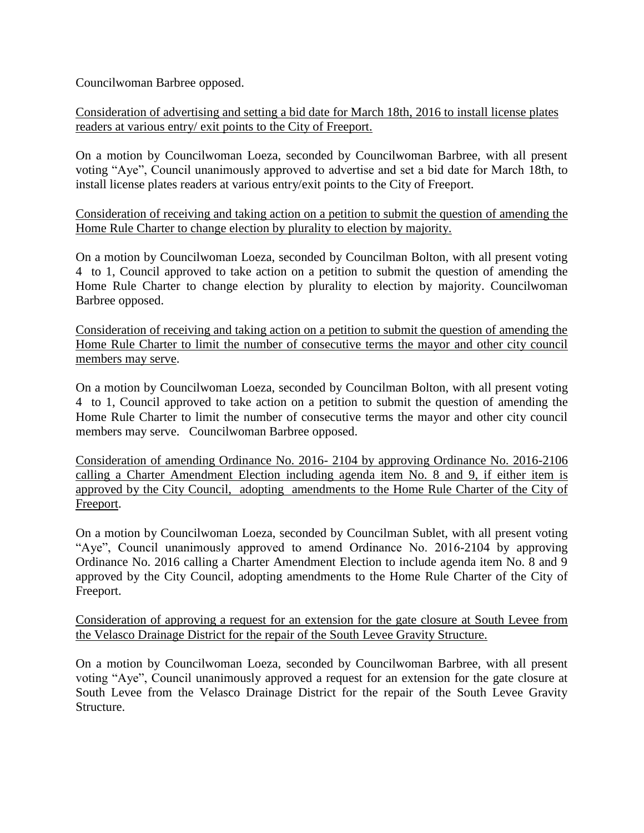Councilwoman Barbree opposed.

Consideration of advertising and setting a bid date for March 18th, 2016 to install license plates readers at various entry/ exit points to the City of Freeport.

On a motion by Councilwoman Loeza, seconded by Councilwoman Barbree, with all present voting "Aye", Council unanimously approved to advertise and set a bid date for March 18th, to install license plates readers at various entry/exit points to the City of Freeport.

Consideration of receiving and taking action on a petition to submit the question of amending the Home Rule Charter to change election by plurality to election by majority.

On a motion by Councilwoman Loeza, seconded by Councilman Bolton, with all present voting 4 to 1, Council approved to take action on a petition to submit the question of amending the Home Rule Charter to change election by plurality to election by majority. Councilwoman Barbree opposed.

Consideration of receiving and taking action on a petition to submit the question of amending the Home Rule Charter to limit the number of consecutive terms the mayor and other city council members may serve.

On a motion by Councilwoman Loeza, seconded by Councilman Bolton, with all present voting 4 to 1, Council approved to take action on a petition to submit the question of amending the Home Rule Charter to limit the number of consecutive terms the mayor and other city council members may serve. Councilwoman Barbree opposed.

Consideration of amending Ordinance No. 2016- 2104 by approving Ordinance No. 2016-2106 calling a Charter Amendment Election including agenda item No. 8 and 9, if either item is approved by the City Council, adopting amendments to the Home Rule Charter of the City of Freeport.

On a motion by Councilwoman Loeza, seconded by Councilman Sublet, with all present voting "Aye", Council unanimously approved to amend Ordinance No. 2016-2104 by approving Ordinance No. 2016 calling a Charter Amendment Election to include agenda item No. 8 and 9 approved by the City Council, adopting amendments to the Home Rule Charter of the City of Freeport.

Consideration of approving a request for an extension for the gate closure at South Levee from the Velasco Drainage District for the repair of the South Levee Gravity Structure.

On a motion by Councilwoman Loeza, seconded by Councilwoman Barbree, with all present voting "Aye", Council unanimously approved a request for an extension for the gate closure at South Levee from the Velasco Drainage District for the repair of the South Levee Gravity Structure.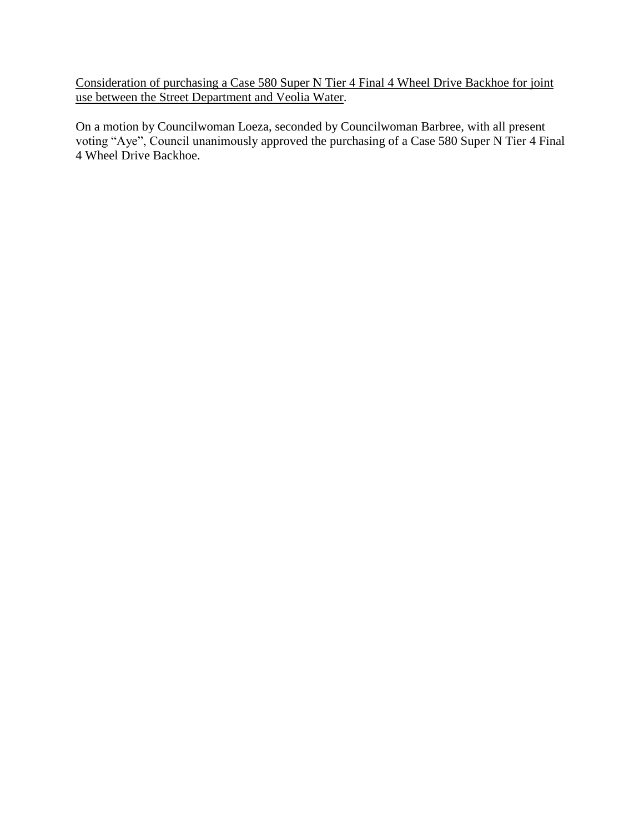Consideration of purchasing a Case 580 Super N Tier 4 Final 4 Wheel Drive Backhoe for joint use between the Street Department and Veolia Water.

On a motion by Councilwoman Loeza, seconded by Councilwoman Barbree, with all present voting "Aye", Council unanimously approved the purchasing of a Case 580 Super N Tier 4 Final 4 Wheel Drive Backhoe.